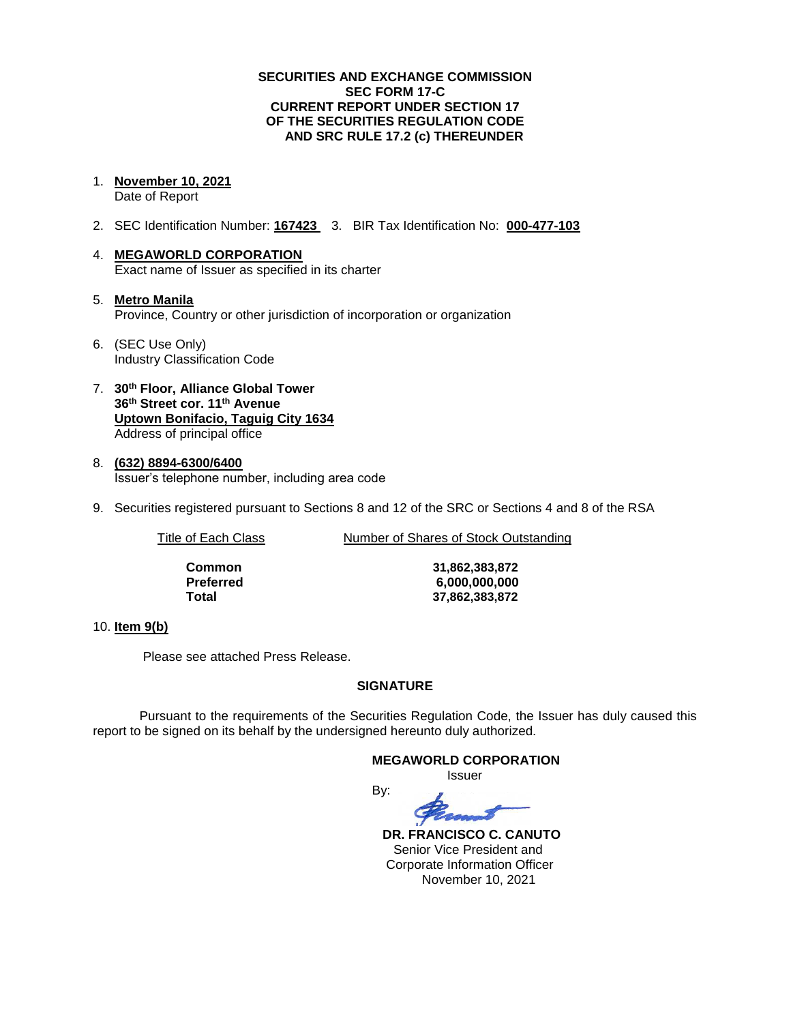#### **SECURITIES AND EXCHANGE COMMISSION SEC FORM 17-C CURRENT REPORT UNDER SECTION 17 OF THE SECURITIES REGULATION CODE AND SRC RULE 17.2 (c) THEREUNDER**

1. **November 10, 2021**

Date of Report

- 2. SEC Identification Number: **167423** 3. BIR Tax Identification No: **000-477-103**
- 4. **MEGAWORLD CORPORATION** Exact name of Issuer as specified in its charter
- 5. **Metro Manila** Province, Country or other jurisdiction of incorporation or organization
- 6. (SEC Use Only) Industry Classification Code
- 7. **30th Floor, Alliance Global Tower 36th Street cor. 11th Avenue Uptown Bonifacio, Taguig City 1634** Address of principal office
- 8. **(632) 8894-6300/6400** Issuer's telephone number, including area code
- 9. Securities registered pursuant to Sections 8 and 12 of the SRC or Sections 4 and 8 of the RSA

Title of Each Class Number of Shares of Stock Outstanding

| Common    |
|-----------|
| Preferred |
| Total     |

**Common 31,862,383,872 Preferred 6,000,000,000 Total 37,862,383,872**

### 10. **Item 9(b)**

Please see attached Press Release.

### **SIGNATURE**

Pursuant to the requirements of the Securities Regulation Code, the Issuer has duly caused this report to be signed on its behalf by the undersigned hereunto duly authorized.

By:

### **MEGAWORLD CORPORATION**

Issuer



 **DR. FRANCISCO C. CANUTO** Senior Vice President and Corporate Information Officer November 10, 2021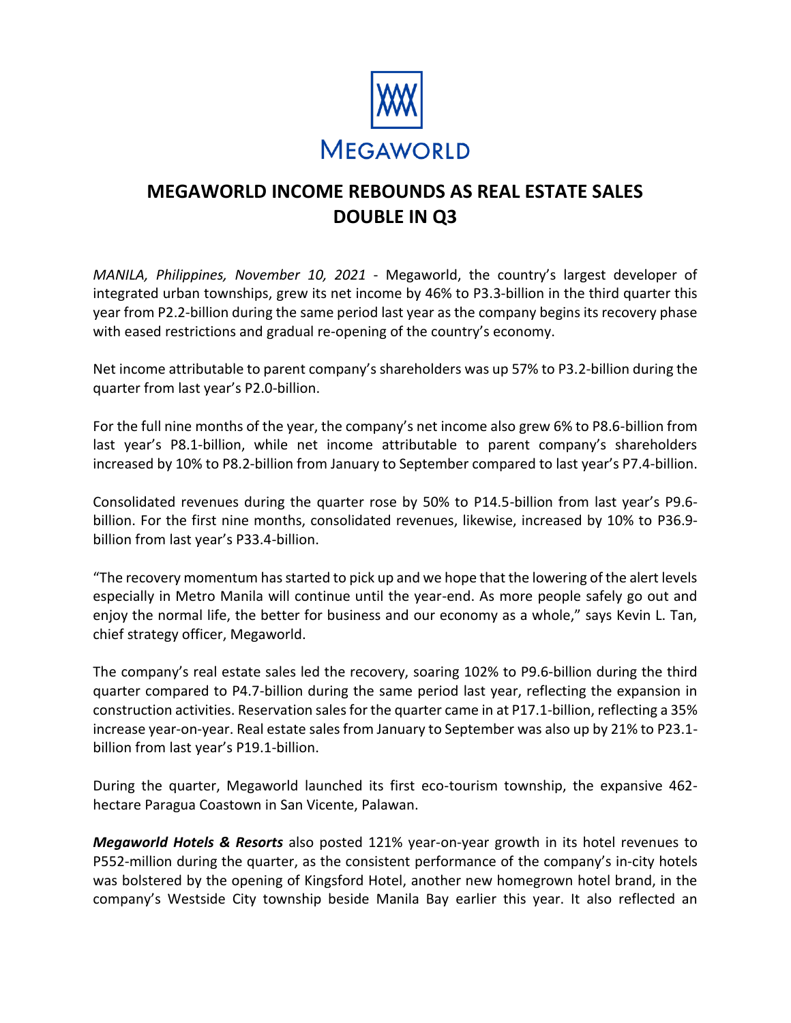

### **MEGAWORLD INCOME REBOUNDS AS REAL ESTATE SALES DOUBLE IN Q3**

*MANILA, Philippines, November 10, 2021* ‐ Megaworld, the country's largest developer of integrated urban townships, grew its net income by 46% to P3.3-billion in the third quarter this year from P2.2-billion during the same period last year as the company begins its recovery phase with eased restrictions and gradual re-opening of the country's economy.

Net income attributable to parent company's shareholders was up 57% to P3.2-billion during the quarter from last year's P2.0-billion.

For the full nine months of the year, the company's net income also grew 6% to P8.6-billion from last year's P8.1-billion, while net income attributable to parent company's shareholders increased by 10% to P8.2-billion from January to September compared to last year's P7.4-billion.

Consolidated revenues during the quarter rose by 50% to P14.5-billion from last year's P9.6 billion. For the first nine months, consolidated revenues, likewise, increased by 10% to P36.9 billion from last year's P33.4-billion.

"The recovery momentum has started to pick up and we hope that the lowering of the alert levels especially in Metro Manila will continue until the year-end. As more people safely go out and enjoy the normal life, the better for business and our economy as a whole," says Kevin L. Tan, chief strategy officer, Megaworld.

The company's real estate sales led the recovery, soaring 102% to P9.6-billion during the third quarter compared to P4.7-billion during the same period last year, reflecting the expansion in construction activities. Reservation sales for the quarter came in at P17.1-billion, reflecting a 35% increase year-on-year. Real estate sales from January to September was also up by 21% to P23.1 billion from last year's P19.1-billion.

During the quarter, Megaworld launched its first eco-tourism township, the expansive 462 hectare Paragua Coastown in San Vicente, Palawan.

*Megaworld Hotels & Resorts* also posted 121% year-on-year growth in its hotel revenues to P552-million during the quarter, as the consistent performance of the company's in-city hotels was bolstered by the opening of Kingsford Hotel, another new homegrown hotel brand, in the company's Westside City township beside Manila Bay earlier this year. It also reflected an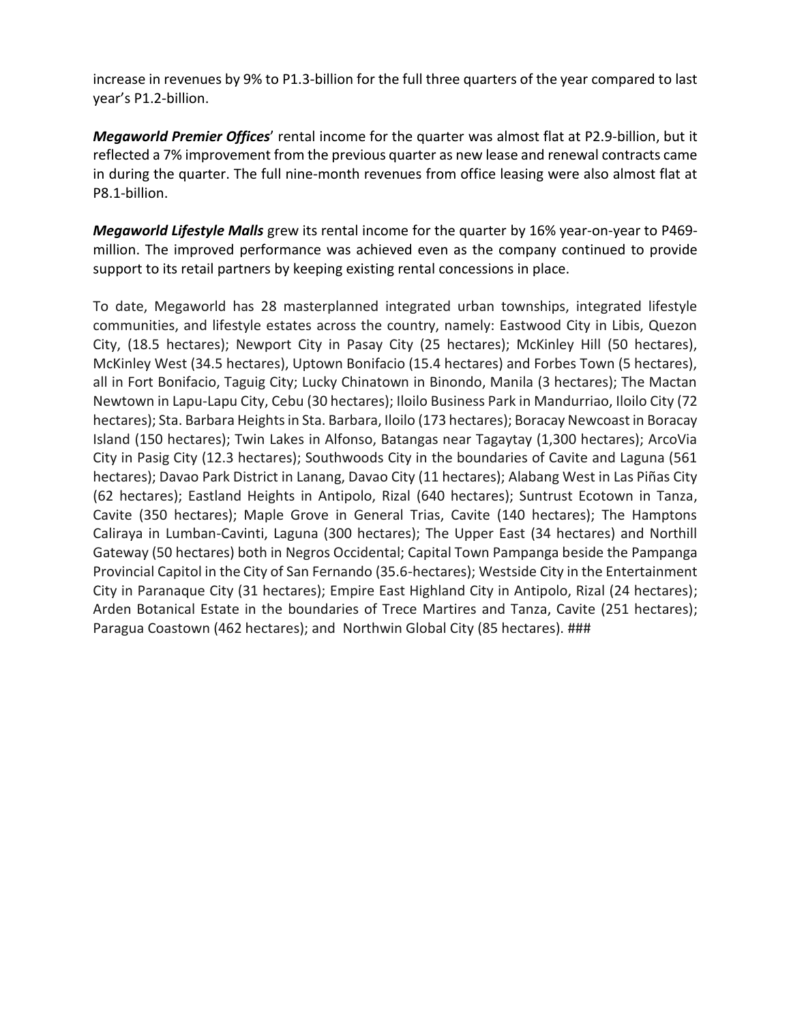increase in revenues by 9% to P1.3-billion for the full three quarters of the year compared to last year's P1.2-billion.

*Megaworld Premier Offices*' rental income for the quarter was almost flat at P2.9-billion, but it reflected a 7% improvement from the previous quarter as new lease and renewal contracts came in during the quarter. The full nine-month revenues from office leasing were also almost flat at P8.1-billion.

*Megaworld Lifestyle Malls* grew its rental income for the quarter by 16% year-on-year to P469 million. The improved performance was achieved even as the company continued to provide support to its retail partners by keeping existing rental concessions in place.

To date, Megaworld has 28 masterplanned integrated urban townships, integrated lifestyle communities, and lifestyle estates across the country, namely: Eastwood City in Libis, Quezon City, (18.5 hectares); Newport City in Pasay City (25 hectares); McKinley Hill (50 hectares), McKinley West (34.5 hectares), Uptown Bonifacio (15.4 hectares) and Forbes Town (5 hectares), all in Fort Bonifacio, Taguig City; Lucky Chinatown in Binondo, Manila (3 hectares); The Mactan Newtown in Lapu-Lapu City, Cebu (30 hectares); Iloilo Business Park in Mandurriao, Iloilo City (72 hectares); Sta. Barbara Heights in Sta. Barbara, Iloilo (173 hectares); Boracay Newcoast in Boracay Island (150 hectares); Twin Lakes in Alfonso, Batangas near Tagaytay (1,300 hectares); ArcoVia City in Pasig City (12.3 hectares); Southwoods City in the boundaries of Cavite and Laguna (561 hectares); Davao Park District in Lanang, Davao City (11 hectares); Alabang West in Las Piñas City (62 hectares); Eastland Heights in Antipolo, Rizal (640 hectares); Suntrust Ecotown in Tanza, Cavite (350 hectares); Maple Grove in General Trias, Cavite (140 hectares); The Hamptons Caliraya in Lumban-Cavinti, Laguna (300 hectares); The Upper East (34 hectares) and Northill Gateway (50 hectares) both in Negros Occidental; Capital Town Pampanga beside the Pampanga Provincial Capitol in the City of San Fernando (35.6-hectares); Westside City in the Entertainment City in Paranaque City (31 hectares); Empire East Highland City in Antipolo, Rizal (24 hectares); Arden Botanical Estate in the boundaries of Trece Martires and Tanza, Cavite (251 hectares); Paragua Coastown (462 hectares); and Northwin Global City (85 hectares). ###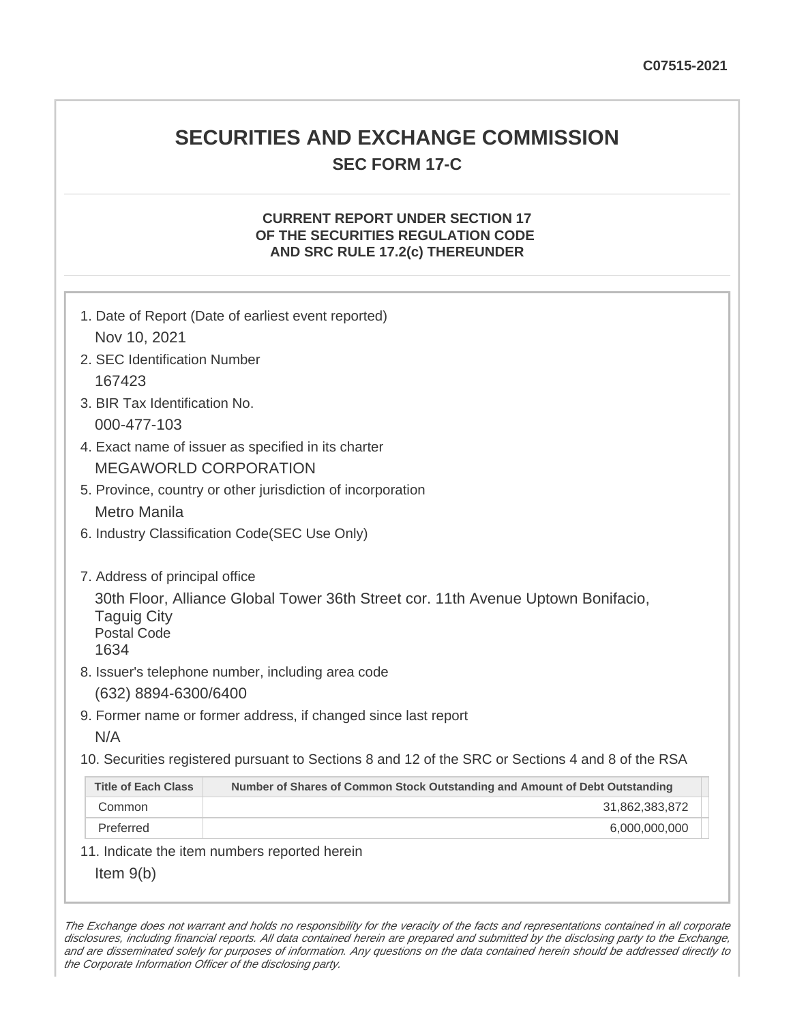## **SECURITIES AND EXCHANGE COMMISSION SEC FORM 17-C**

### **CURRENT REPORT UNDER SECTION 17 OF THE SECURITIES REGULATION CODE AND SRC RULE 17.2(c) THEREUNDER**

| 1. Date of Report (Date of earliest event reported)                                                                                                                                                                                                 |                                                                                                   |  |
|-----------------------------------------------------------------------------------------------------------------------------------------------------------------------------------------------------------------------------------------------------|---------------------------------------------------------------------------------------------------|--|
| Nov 10, 2021                                                                                                                                                                                                                                        |                                                                                                   |  |
| 2. SEC Identification Number                                                                                                                                                                                                                        |                                                                                                   |  |
| 167423                                                                                                                                                                                                                                              |                                                                                                   |  |
| 3. BIR Tax Identification No.                                                                                                                                                                                                                       |                                                                                                   |  |
| 000-477-103                                                                                                                                                                                                                                         |                                                                                                   |  |
| 4. Exact name of issuer as specified in its charter                                                                                                                                                                                                 |                                                                                                   |  |
| <b>MEGAWORLD CORPORATION</b>                                                                                                                                                                                                                        |                                                                                                   |  |
| 5. Province, country or other jurisdiction of incorporation                                                                                                                                                                                         |                                                                                                   |  |
| Metro Manila                                                                                                                                                                                                                                        |                                                                                                   |  |
| 6. Industry Classification Code(SEC Use Only)                                                                                                                                                                                                       |                                                                                                   |  |
| 7. Address of principal office<br>30th Floor, Alliance Global Tower 36th Street cor. 11th Avenue Uptown Bonifacio,<br><b>Taguig City</b><br><b>Postal Code</b><br>1634<br>8. Issuer's telephone number, including area code<br>(632) 8894-6300/6400 |                                                                                                   |  |
|                                                                                                                                                                                                                                                     | 9. Former name or former address, if changed since last report                                    |  |
| N/A                                                                                                                                                                                                                                                 |                                                                                                   |  |
|                                                                                                                                                                                                                                                     | 10. Securities registered pursuant to Sections 8 and 12 of the SRC or Sections 4 and 8 of the RSA |  |
| <b>Title of Each Class</b>                                                                                                                                                                                                                          | Number of Shares of Common Stock Outstanding and Amount of Debt Outstanding                       |  |
| Common                                                                                                                                                                                                                                              | 31,862,383,872                                                                                    |  |
| Preferred                                                                                                                                                                                                                                           | 6,000,000,000                                                                                     |  |
|                                                                                                                                                                                                                                                     | 11. Indicate the item numbers reported herein                                                     |  |
| Item $9(b)$                                                                                                                                                                                                                                         |                                                                                                   |  |

The Exchange does not warrant and holds no responsibility for the veracity of the facts and representations contained in all corporate disclosures, including financial reports. All data contained herein are prepared and submitted by the disclosing party to the Exchange, and are disseminated solely for purposes of information. Any questions on the data contained herein should be addressed directly to the Corporate Information Officer of the disclosing party.